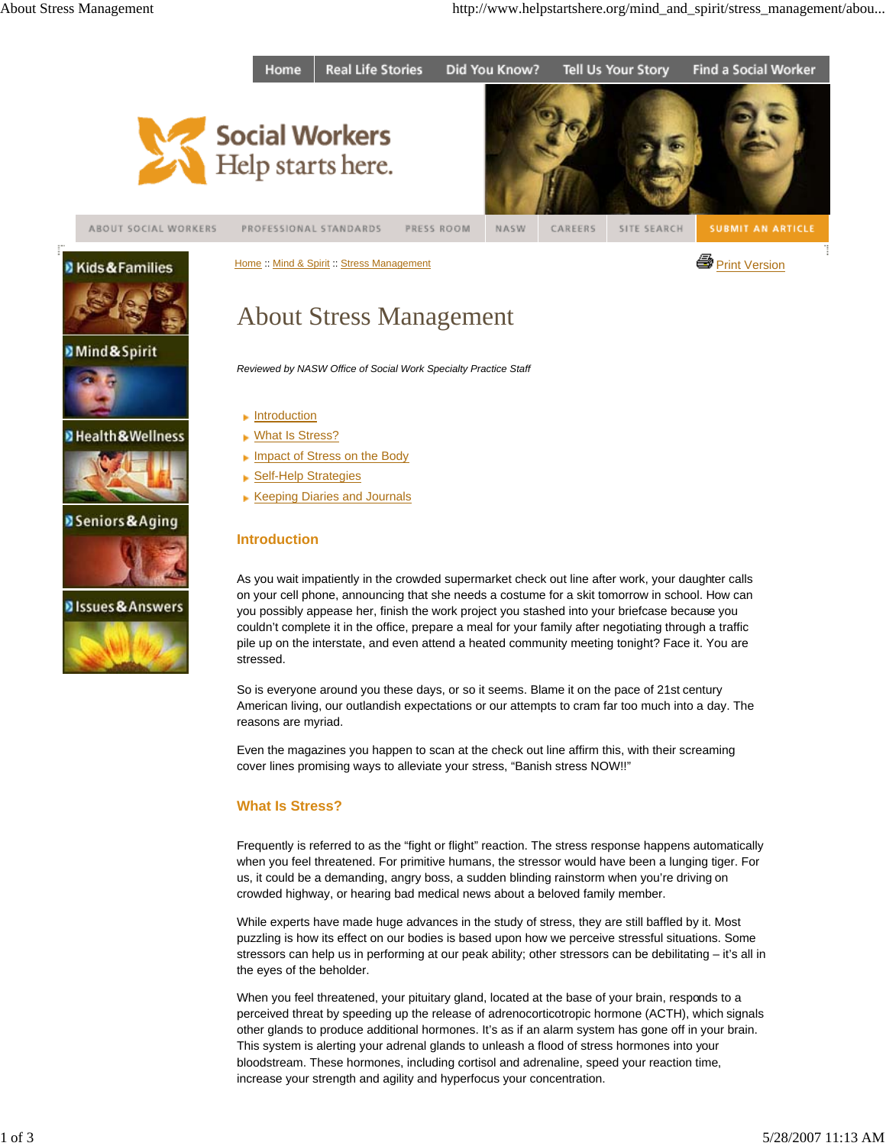



Home :: Mind & Spirit :: Stress Management Print Version **Stress Anagement** Print Version

About Stress Management







## **D** Health & Wellness



# **B** Seniors & Aging





# *Reviewed by NASW Office of Social Work Specialty Practice Staff*

- **Introduction** ▶ What Is Stress?
- **Impact of Stress on the Body**
- ▶ Self-Help Strategies
- **Keeping Diaries and Journals**

# **Introduction**

As you wait impatiently in the crowded supermarket check out line after work, your daughter calls on your cell phone, announcing that she needs a costume for a skit tomorrow in school. How can you possibly appease her, finish the work project you stashed into your briefcase because you couldn't complete it in the office, prepare a meal for your family after negotiating through a traffic pile up on the interstate, and even attend a heated community meeting tonight? Face it. You are stressed.

So is everyone around you these days, or so it seems. Blame it on the pace of 21st century American living, our outlandish expectations or our attempts to cram far too much into a day. The reasons are myriad.

Even the magazines you happen to scan at the check out line affirm this, with their screaming cover lines promising ways to alleviate your stress, "Banish stress NOW!!"

# **What Is Stress?**

Frequently is referred to as the "fight or flight" reaction. The stress response happens automatically when you feel threatened. For primitive humans, the stressor would have been a lunging tiger. For us, it could be a demanding, angry boss, a sudden blinding rainstorm when you're driving on crowded highway, or hearing bad medical news about a beloved family member.

While experts have made huge advances in the study of stress, they are still baffled by it. Most puzzling is how its effect on our bodies is based upon how we perceive stressful situations. Some stressors can help us in performing at our peak ability; other stressors can be debilitating – it's all in the eyes of the beholder.

When you feel threatened, your pituitary gland, located at the base of your brain, responds to a perceived threat by speeding up the release of adrenocorticotropic hormone (ACTH), which signals other glands to produce additional hormones. It's as if an alarm system has gone off in your brain. This system is alerting your adrenal glands to unleash a flood of stress hormones into your bloodstream. These hormones, including cortisol and adrenaline, speed your reaction time, increase your strength and agility and hyperfocus your concentration.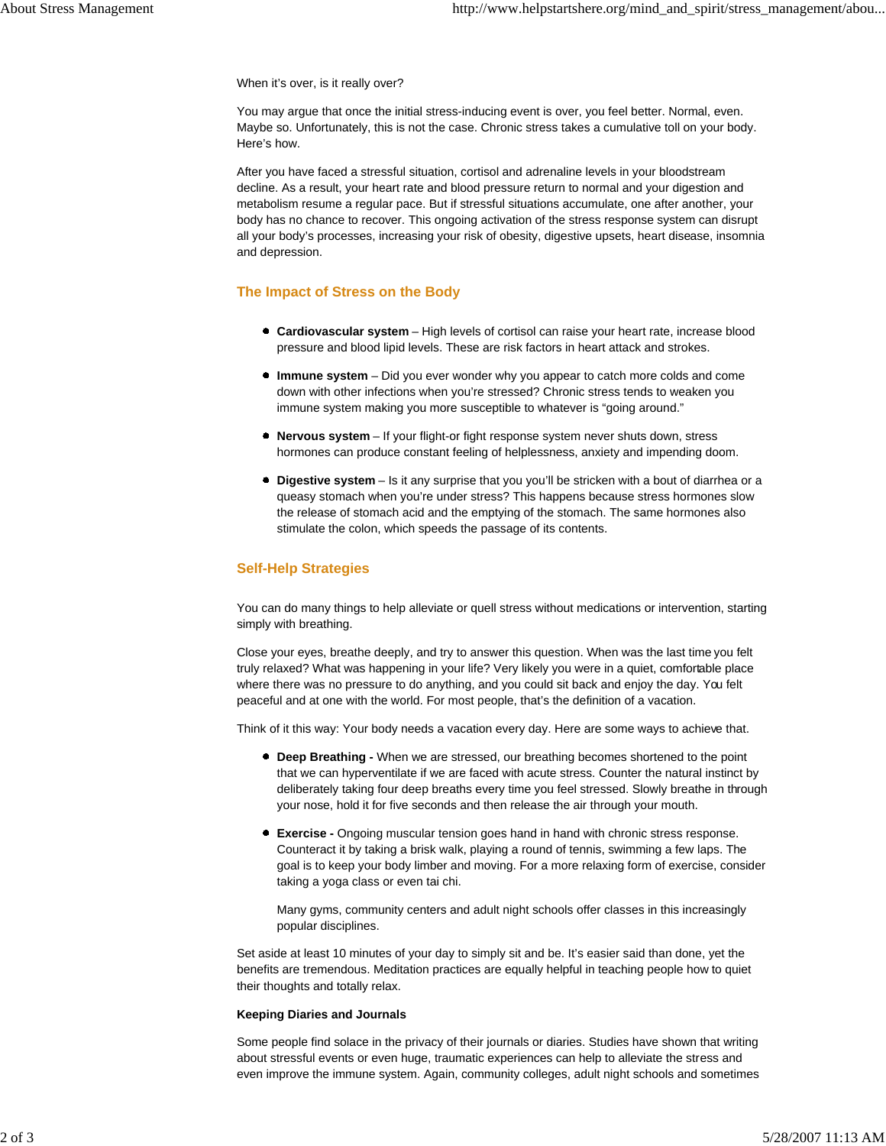When it's over, is it really over?

You may argue that once the initial stress-inducing event is over, you feel better. Normal, even. Maybe so. Unfortunately, this is not the case. Chronic stress takes a cumulative toll on your body. Here's how.

After you have faced a stressful situation, cortisol and adrenaline levels in your bloodstream decline. As a result, your heart rate and blood pressure return to normal and your digestion and metabolism resume a regular pace. But if stressful situations accumulate, one after another, your body has no chance to recover. This ongoing activation of the stress response system can disrupt all your body's processes, increasing your risk of obesity, digestive upsets, heart disease, insomnia and depression.

### **The Impact of Stress on the Body**

- **Cardiovascular system** High levels of cortisol can raise your heart rate, increase blood pressure and blood lipid levels. These are risk factors in heart attack and strokes.
- **Immune system** Did you ever wonder why you appear to catch more colds and come down with other infections when you're stressed? Chronic stress tends to weaken you immune system making you more susceptible to whatever is "going around."
- **Nervous system** If your flight-or fight response system never shuts down, stress hormones can produce constant feeling of helplessness, anxiety and impending doom.
- **Digestive system** Is it any surprise that you you'll be stricken with a bout of diarrhea or a queasy stomach when you're under stress? This happens because stress hormones slow the release of stomach acid and the emptying of the stomach. The same hormones also stimulate the colon, which speeds the passage of its contents.

### **Self-Help Strategies**

You can do many things to help alleviate or quell stress without medications or intervention, starting simply with breathing.

Close your eyes, breathe deeply, and try to answer this question. When was the last time you felt truly relaxed? What was happening in your life? Very likely you were in a quiet, comfortable place where there was no pressure to do anything, and you could sit back and enjoy the day. You felt peaceful and at one with the world. For most people, that's the definition of a vacation.

Think of it this way: Your body needs a vacation every day. Here are some ways to achieve that.

- **Deep Breathing** When we are stressed, our breathing becomes shortened to the point that we can hyperventilate if we are faced with acute stress. Counter the natural instinct by deliberately taking four deep breaths every time you feel stressed. Slowly breathe in through your nose, hold it for five seconds and then release the air through your mouth.
- **Exercise** Ongoing muscular tension goes hand in hand with chronic stress response. Counteract it by taking a brisk walk, playing a round of tennis, swimming a few laps. The goal is to keep your body limber and moving. For a more relaxing form of exercise, consider taking a yoga class or even tai chi.

Many gyms, community centers and adult night schools offer classes in this increasingly popular disciplines.

Set aside at least 10 minutes of your day to simply sit and be. It's easier said than done, yet the benefits are tremendous. Meditation practices are equally helpful in teaching people how to quiet their thoughts and totally relax.

#### **Keeping Diaries and Journals**

Some people find solace in the privacy of their journals or diaries. Studies have shown that writing about stressful events or even huge, traumatic experiences can help to alleviate the stress and even improve the immune system. Again, community colleges, adult night schools and sometimes